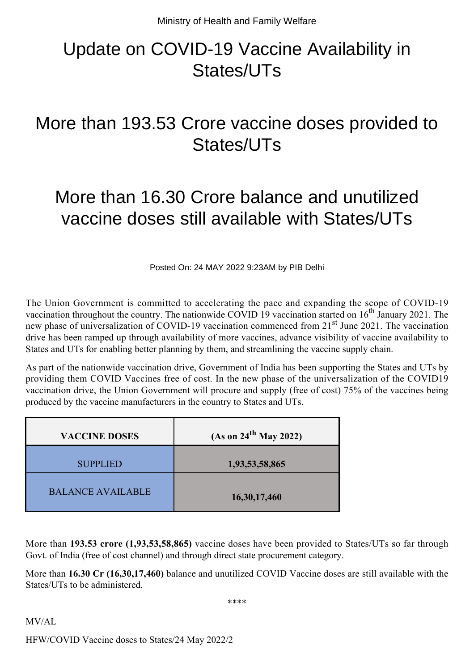## Update on COVID-19 Vaccine Availability in States/UTs

## More than 193.53 Crore vaccine doses provided to States/UTs

## More than 16.30 Crore balance and unutilized vaccine doses still available with States/UTs

Posted On: 24 MAY 2022 9:23AM by PIB Delhi

The Union Government is committed to accelerating the pace and expanding the scope of COVID-19 vaccination throughout the country. The nationwide COVID 19 vaccination started on  $16<sup>th</sup>$  January 2021. The new phase of universalization of COVID-19 vaccination commenced from 21<sup>st</sup> June 2021. The vaccination drive has been ramped up through availability of more vaccines, advance visibility of vaccine availability to States and UTs for enabling better planning by them, and streamlining the vaccine supply chain.

As part of the nationwide vaccination drive, Government of India has been supporting the States and UTs by providing them COVID Vaccines free of cost. In the new phase of the universalization of the COVID19 vaccination drive, the Union Government will procure and supply (free of cost) 75% of the vaccines being produced by the vaccine manufacturers in the country to States and UTs.

| <b>VACCINE DOSES</b>     | (As on 24 <sup>th</sup> May 2022) |
|--------------------------|-----------------------------------|
| <b>SUPPLIED</b>          | 1,93,53,58,865                    |
| <b>BALANCE AVAILABLE</b> | 16,30,17,460                      |

More than **193.53 crore (1,93,53,58,865)** vaccine doses have been provided to States/UTs so far through Govt. of India (free of cost channel) and through direct state procurement category.

More than **16.30 Cr (16,30,17,460)** balance and unutilized COVID Vaccine doses are still available with the States/UTs to be administered.

\*\*\*\*

MV/AL

HFW/COVID Vaccine doses to States/24 May 2022/2